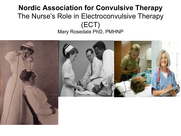#### **Nordic Association for Convulsive Therapy** The Nurse's Role in Electroconvulsive Therapy (ECT) Mary Rosedale PhD, PMHNP

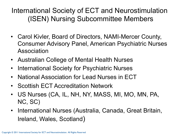### International Society of ECT and Neurostimulation (ISEN) Nursing Subcommittee Members

- Carol Kivler, Board of Directors, NAMI-Mercer County, Consumer Advisory Panel, American Psychiatric Nurses Association
- Australian College of Mental Health Nurses
- International Society for Psychiatric Nurses
- National Association for Lead Nurses in ECT
- Scottish ECT Accreditation Network
- US Nurses (CA, IL, NH, NY, MASS, MI, MO, MN, PA, NC, SC)
- International Nurses (Australia, Canada, Great Britain, Ireland, Wales, Scotland)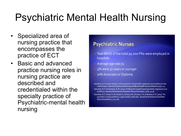## Psychiatric Mental Health Nursing

- Specialized area of nursing practice that encompasses the practice of ECT
- Basic and advanced practice nursing roles in nursing practice are described and credentialed within the specialty practice of Psychiatric-mental health nursing

#### **Psychiatric Nurses**

- Two-thirds of the total 90,000 PNs were employed in hospitals
- Average age was 51
- 4% were 30 years or younger
- 70% Associate or Diploma

Hanrahan, N. P. (2009). Analysis of the psychiatric mental health registered nurse workforce in the United States. Journal of Psychosocial Nursing and Mental Health Services Research 47(5), 1-9. Hanrahan, N. P., & Gerolamo, A. M. (2004). Profiling the hospital-based psychiatric registered nurse workforce. Journal of the American Psychiatric Nurses Association, 20(6), 43-46.

Hanrahan, N. P., Stuart, G. W., Brown, P., Johnson, M., Drucker, C. B., & Delaney, K. R. (2003). The psychiatric nursing workforce. Large numbers, little data. Journal of the American Psychiatric Nurses Association, 9, 104-106.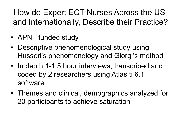How do Expert ECT Nurses Across the US and Internationally, Describe their Practice?

- APNF funded study
- Descriptive phenomenological study using Husserl's phenomenology and Giorgi's method
- In depth 1-1.5 hour interviews, transcribed and coded by 2 researchers using Atlas ti 6.1 software
- Themes and clinical, demographics analyzed for 20 participants to achieve saturation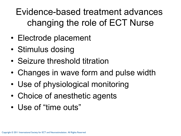Evidence-based treatment advances changing the role of ECT Nurse

- Electrode placement
- Stimulus dosing
- Seizure threshold titration
- Changes in wave form and pulse width
- Use of physiological monitoring
- Choice of anesthetic agents
- Use of "time outs"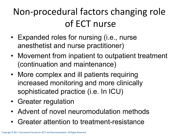## Non-procedural factors changing role of ECT nurse

- Expanded roles for nursing (i.e., nurse anesthetist and nurse practitioner)
- Movement from inpatient to outpatient treatment (continuation and maintenance)
- More complex and ill patients requiring increased monitoring and more clinically sophisticated practice (i.e. In ICU)
- Greater regulation
- Advent of novel neuromodulation methods
- Greater attention to treatment-resistance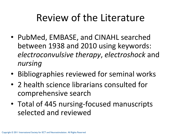## Review of the Literature

- PubMed, EMBASE, and CINAHL searched between 1938 and 2010 using keywords: *electroconvulsive therapy, electroshock* and *nursing,*
- Bibliographies reviewed for seminal works
- 2 health science librarians consulted for comprehensive search-
- Total of 445 nursing-focused manuscripts selected and reviewed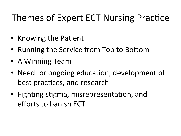## Themes of Expert ECT Nursing Practice

- Knowing the Patient
- Running the Service from Top to Bottom
- A Winning Team
- Need for ongoing education, development of best practices, and research
- Fighting stigma, misrepresentation, and efforts to banish FCT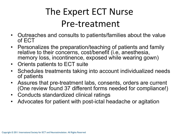## The Expert ECT Nurse Pre-treatment

- Outreaches and consults to patients/families about the value of ECT
- Personalizes the preparation/teaching of patients and family relative to their concerns, cost/benefit (i.e, anesthesia, memory loss, incontinence, exposed while wearing gown)
- Orients patients to ECT suite
- Schedules treatments taking into account individualized needs of patients
- Assures that pre-treatment labs, consents, orders are current (One review found 37 different forms needed for compliance!)
- Conducts standardized clinical ratings
- Advocates for patient with post-ictal headache or agitation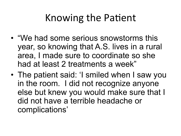## Knowing the Patient

- "We had some serious snowstorms this year, so knowing that A.S. lives in a rural area, I made sure to coordinate so she had at least 2 treatments a week"
- The patient said: 'I smiled when I saw you in the room. I did not recognize anyone else but knew you would make sure that I did not have a terrible headache or complications'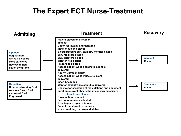#### **The Expert ECT Nurse-Treatment**

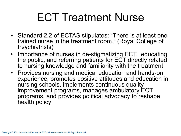# ECT Treatment Nurse

- Standard 2.2 of ECTAS stipulates: "There is at least one trained nurse in the treatment room." (Royal College of Psychiatrists)
- Importance of nurses in de-stigmatizing ECT, educating the public, and referring patients for ECT directly related to nursing knowledge and familiarity with the treatment
- Provides nursing and medical education and hands-on experience, promotes positive attitudes and education in nursing schools, implements continuous quality improvement programs, manages ambulatory ECT programs, and provides political advocacy to reshape health policy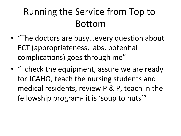## Running the Service from Top to Bottom

- "The doctors are busy...every question about ECT (appropriateness, labs, potential complications) goes through me"
- "I check the equipment, assure we are ready for JCAHO, teach the nursing students and medical residents, review  $P$  &  $P$ , teach in the fellowship program- it is 'soup to nuts'"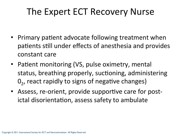## The Expert ECT Recovery Nurse

- Primary patient advocate following treatment when patients still under effects of anesthesia and provides constant care
- Patient monitoring (VS, pulse oximetry, mentalstatus, breathing properly, suctioning, administering  $0<sub>2</sub>$ , react rapidly to signs of negative changes)
- Assess, re-orient, provide supportive care for postictal disorientation, assess safety to ambulate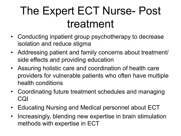# The Expert ECT Nurse- Post treatment

- Conducting inpatient group psychotherapy to decrease isolation and reduce stigma
- Addressing patient and family concerns about treatment/ side effects and providing education
- Assuring holistic care and coordination of health care providers for vulnerable patients who often have multiple health conditions
- Coordinating future treatment schedules and managing CQI
- Educating Nursing and Medical personnel about ECT
- Increasingly, blending new expertise in brain stimulation methods with expertise in ECT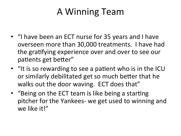## A-Winning-Team-

- "I have been an ECT nurse for 35 years and I have overseen more than 30,000 treatments. I have had the gratifying experience over and over to see our patients get better"
- "It is so rewarding to see a patient who is in the ICU or similarly debilitated get so much better that he walks out the door waving. ECT does that"
- "Being on the ECT team is like being a starting pitcher for the Yankees- we get used to winning and we like it!"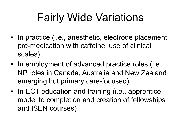# Fairly Wide Variations

- In practice (i.e., anesthetic, electrode placement, pre-medication with caffeine, use of clinical scales)
- In employment of advanced practice roles (i.e., NP roles in Canada, Australia and New Zealand emerging but primary care-focused)
- In ECT education and training (i.e., apprentice model to completion and creation of fellowships and ISEN courses)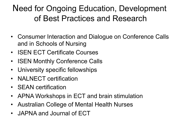### Need for Ongoing Education, Development of Best Practices and Research

- Consumer Interaction and Dialogue on Conference Calls and in Schools of Nursing
- ISEN ECT Certificate Courses
- ISEN Monthly Conference Calls
- University specific fellowships
- NALNECT certification
- **SEAN** certification
- APNA Workshops in ECT and brain stimulation
- Australian College of Mental Health Nurses
- JAPNA and Journal of ECT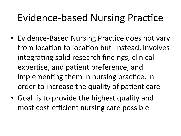## Evidence-based Nursing Practice

- Evidence-Based Nursing Practice does not vary from location to location but instead, involves integrating solid research findings, clinical expertise, and patient preference, and implementing them in nursing practice, in order to increase the quality of patient care
- Goal is to provide the highest quality and most cost-efficient nursing care possible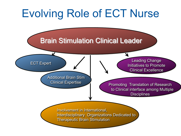### Evolving Role of ECT Nurse Involvement in International, Interdisciplinary Organizations Dedicated to Therapeutic Brain Stimulation Brain Stimulation Clinical Leader Leading Change Initiatives to Promote Clinical Excellence Additional Brain Stim Clinical Expertise ECT Expert Promoting Translation of Research to Clinical interface among Multiple **Disciplines**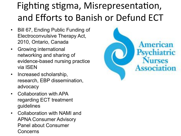## Fighting stigma, Misrepresentation, and Efforts to Banish or Defund ECT

- Bill 67, Ending Public Funding of Electroconvulsive Therapy Act, 2010, Ontario, Canada
- Growing international networking and sharing of evidence-based nursing practice via ISEN
- Increased scholarship, research, EBP dissemination, advocacy
- Collaboration with APA regarding ECT treatment guidelines
- Collaboration with NAMI and APNA Consumer Advisory Panel about Consumer Concerns

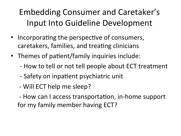## Embedding-Consumer-and-Caretaker's-Input Into Guideline Development

- Incorporating the perspective of consumers, caretakers, families, and treating clinicians
- Themes of patient/family inquiries include:
	- How to tell or not tell people about ECT treatment
	- Safety on inpatient psychiatric unit
	- Will ECT help me sleep?

- How can I access transportation, in-home support for my family member having ECT?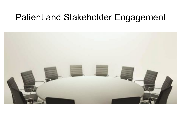### Patient and Stakeholder Engagement

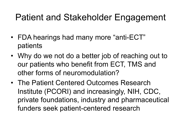## Patient and Stakeholder Engagement

- FDA hearings had many more "anti-ECT" patients
- Why do we not do a better job of reaching out to our patients who benefit from ECT, TMS and other forms of neuromodulation?
- The Patient Centered Outcomes Research Institute (PCORI) and increasingly, NIH, CDC, private foundations, industry and pharmaceutical funders seek patient-centered research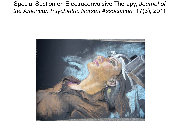Special Section on Electroconvulsive Therapy, *Journal of the American Psychiatric Nurses Association,* 17(3), 2011.